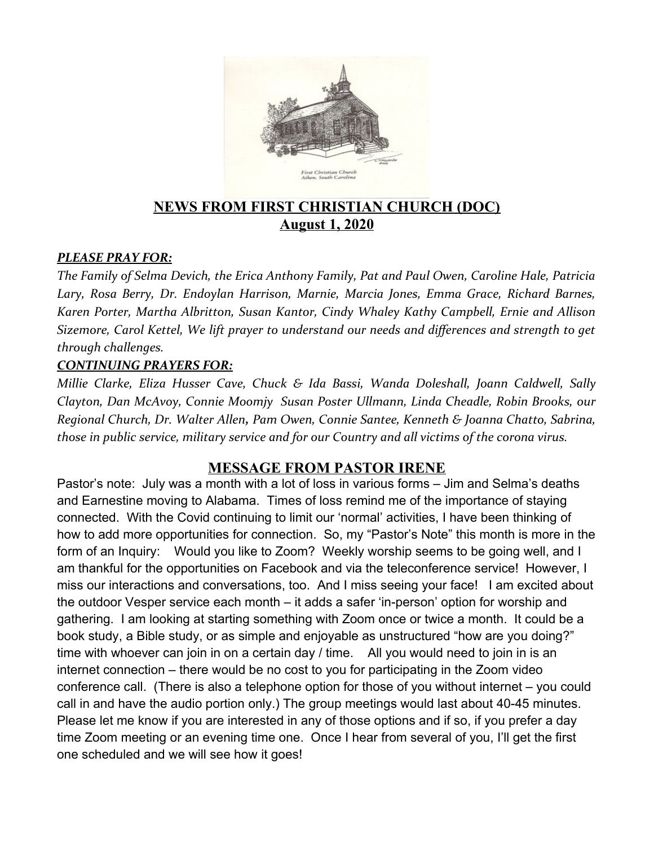

# **NEWS FROM FIRST CHRISTIAN CHURCH (DOC) August 1, 2020**

#### *PLEASE PRAY FOR:*

*The Family of Selma Devich, the Erica Anthony Family, Pat and Paul Owen, Caroline Hale, Patricia Lary, Rosa Berry, Dr. Endoylan Harrison, Marnie, Marcia Jones, Emma Grace, Richard Barnes, Karen Porter, Martha Albritton, Susan Kantor, Cindy Whaley Kathy Campbell, Ernie and Allison Sizemore, Carol Kettel, We lift prayer to understand our needs and differences and strength to get through challenges.* 

#### *CONTINUING PRAYERS FOR:*

*Millie Clarke, Eliza Husser Cave, Chuck & Ida Bassi, Wanda Doleshall, Joann Caldwell, Sally Clayton, Dan McAvoy, Connie Moomjy Susan Poster Ullmann, Linda Cheadle, Robin Brooks, our Regional Church, Dr. Walter Allen, Pam Owen, Connie Santee, Kenneth & Joanna Chatto, Sabrina, those in public service, military service and for our Country and all victims of the corona virus.* 

#### **MESSAGE FROM PASTOR IRENE**

Pastor's note: July was a month with a lot of loss in various forms – Jim and Selma's deaths and Earnestine moving to Alabama. Times of loss remind me of the importance of staying connected. With the Covid continuing to limit our 'normal' activities, I have been thinking of how to add more opportunities for connection. So, my "Pastor's Note" this month is more in the form of an Inquiry: Would you like to Zoom? Weekly worship seems to be going well, and I am thankful for the opportunities on Facebook and via the teleconference service! However, I miss our interactions and conversations, too. And I miss seeing your face! I am excited about the outdoor Vesper service each month – it adds a safer 'in-person' option for worship and gathering. I am looking at starting something with Zoom once or twice a month. It could be a book study, a Bible study, or as simple and enjoyable as unstructured "how are you doing?" time with whoever can join in on a certain day / time. All you would need to join in is an internet connection – there would be no cost to you for participating in the Zoom video conference call. (There is also a telephone option for those of you without internet – you could call in and have the audio portion only.) The group meetings would last about 40-45 minutes. Please let me know if you are interested in any of those options and if so, if you prefer a day time Zoom meeting or an evening time one. Once I hear from several of you, I'll get the first one scheduled and we will see how it goes!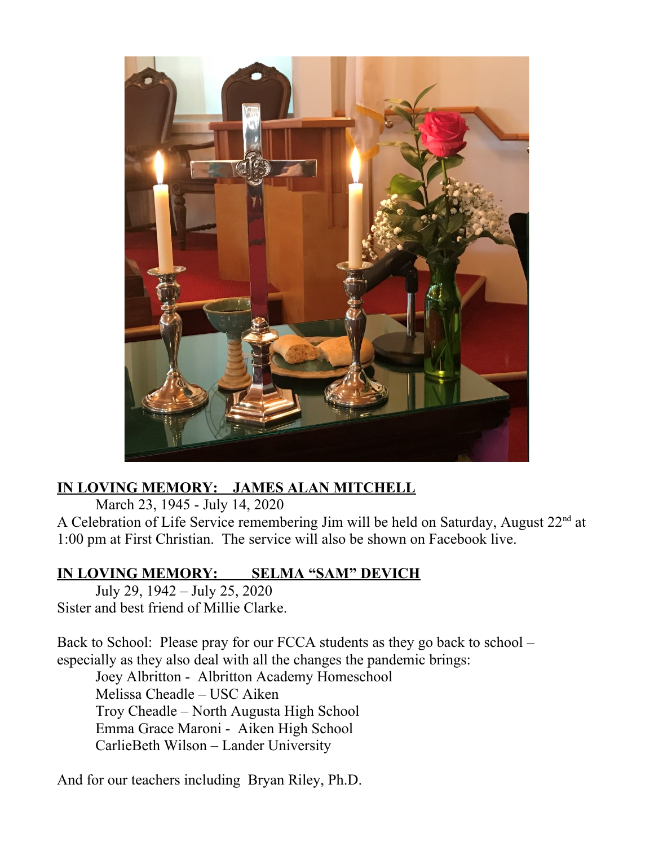

# **IN LOVING MEMORY: JAMES ALAN MITCHELL**

March 23, 1945 - July 14, 2020

A Celebration of Life Service remembering Jim will be held on Saturday, August  $22<sup>nd</sup>$  at 1:00 pm at First Christian. The service will also be shown on Facebook live.

## **IN LOVING MEMORY: SELMA "SAM" DEVICH**

July 29, 1942 – July 25, 2020 Sister and best friend of Millie Clarke.

Back to School: Please pray for our FCCA students as they go back to school – especially as they also deal with all the changes the pandemic brings:

Joey Albritton - Albritton Academy Homeschool Melissa Cheadle – USC Aiken Troy Cheadle – North Augusta High School Emma Grace Maroni - Aiken High School CarlieBeth Wilson – Lander University

And for our teachers including Bryan Riley, Ph.D.